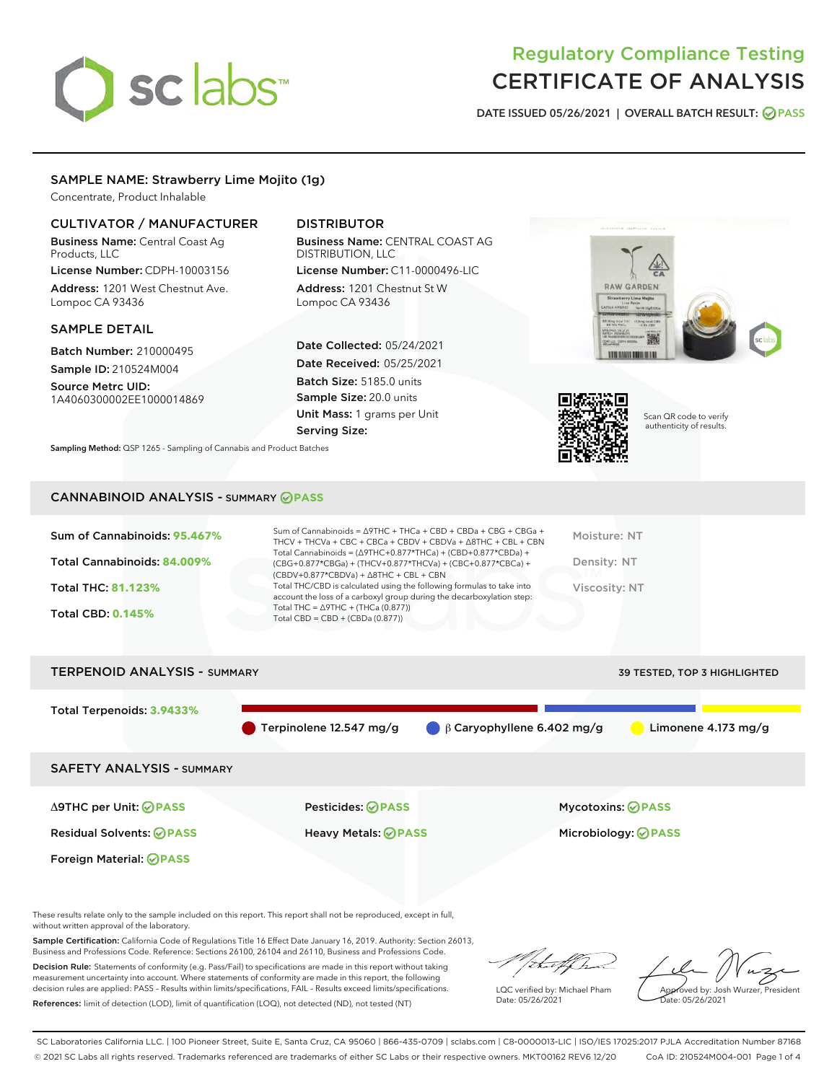# sclabs

# Regulatory Compliance Testing CERTIFICATE OF ANALYSIS

DATE ISSUED 05/26/2021 | OVERALL BATCH RESULT: @ PASS

# SAMPLE NAME: Strawberry Lime Mojito (1g)

Concentrate, Product Inhalable

# CULTIVATOR / MANUFACTURER

Business Name: Central Coast Ag Products, LLC

License Number: CDPH-10003156 Address: 1201 West Chestnut Ave. Lompoc CA 93436

### SAMPLE DETAIL

Batch Number: 210000495 Sample ID: 210524M004

Source Metrc UID: 1A4060300002EE1000014869

# DISTRIBUTOR

Business Name: CENTRAL COAST AG DISTRIBUTION, LLC

License Number: C11-0000496-LIC Address: 1201 Chestnut St W Lompoc CA 93436

Date Collected: 05/24/2021 Date Received: 05/25/2021 Batch Size: 5185.0 units Sample Size: 20.0 units Unit Mass: 1 grams per Unit Serving Size:





Scan QR code to verify authenticity of results.

Sampling Method: QSP 1265 - Sampling of Cannabis and Product Batches

# CANNABINOID ANALYSIS - SUMMARY **PASS**

| Total Cannabinoids = $(\Delta$ 9THC+0.877*THCa) + (CBD+0.877*CBDa) +<br>Total Cannabinoids: 84.009%<br>Density: NT<br>(CBG+0.877*CBGa) + (THCV+0.877*THCVa) + (CBC+0.877*CBCa) +<br>$(CBDV+0.877*CBDVa) + \Delta 8THC + CBL + CBN$<br>Total THC/CBD is calculated using the following formulas to take into<br><b>Total THC: 81.123%</b><br>Viscosity: NT<br>account the loss of a carboxyl group during the decarboxylation step:<br>Total THC = $\triangle$ 9THC + (THCa (0.877))<br><b>Total CBD: 0.145%</b><br>Total CBD = $CBD + (CBDa (0.877))$ | Sum of Cannabinoids: 95.467% | Sum of Cannabinoids = $\triangle$ 9THC + THCa + CBD + CBDa + CBG + CBGa +<br>THCV + THCVa + CBC + CBCa + CBDV + CBDVa + $\Delta$ 8THC + CBL + CBN | Moisture: NT |
|-------------------------------------------------------------------------------------------------------------------------------------------------------------------------------------------------------------------------------------------------------------------------------------------------------------------------------------------------------------------------------------------------------------------------------------------------------------------------------------------------------------------------------------------------------|------------------------------|---------------------------------------------------------------------------------------------------------------------------------------------------|--------------|
|                                                                                                                                                                                                                                                                                                                                                                                                                                                                                                                                                       |                              |                                                                                                                                                   |              |
|                                                                                                                                                                                                                                                                                                                                                                                                                                                                                                                                                       |                              |                                                                                                                                                   |              |
|                                                                                                                                                                                                                                                                                                                                                                                                                                                                                                                                                       |                              |                                                                                                                                                   |              |

# TERPENOID ANALYSIS - SUMMARY 39 TESTED, TOP 3 HIGHLIGHTED Total Terpenoids: **3.9433%** Terpinolene 12.547 mg/g  $\qquad \qquad \beta$  Caryophyllene 6.402 mg/g  $\qquad \qquad$  Limonene 4.173 mg/g SAFETY ANALYSIS - SUMMARY Δ9THC per Unit: **PASS** Pesticides: **PASS** Mycotoxins: **PASS** Residual Solvents: **PASS** Heavy Metals: **PASS** Microbiology: **PASS** Foreign Material: **PASS**

These results relate only to the sample included on this report. This report shall not be reproduced, except in full, without written approval of the laboratory.

Sample Certification: California Code of Regulations Title 16 Effect Date January 16, 2019. Authority: Section 26013, Business and Professions Code. Reference: Sections 26100, 26104 and 26110, Business and Professions Code.

Decision Rule: Statements of conformity (e.g. Pass/Fail) to specifications are made in this report without taking measurement uncertainty into account. Where statements of conformity are made in this report, the following decision rules are applied: PASS – Results within limits/specifications, FAIL – Results exceed limits/specifications. References: limit of detection (LOD), limit of quantification (LOQ), not detected (ND), not tested (NT)

that fCh

LQC verified by: Michael Pham Date: 05/26/2021

Approved by: Josh Wurzer, President ate: 05/26/2021

SC Laboratories California LLC. | 100 Pioneer Street, Suite E, Santa Cruz, CA 95060 | 866-435-0709 | sclabs.com | C8-0000013-LIC | ISO/IES 17025:2017 PJLA Accreditation Number 87168 © 2021 SC Labs all rights reserved. Trademarks referenced are trademarks of either SC Labs or their respective owners. MKT00162 REV6 12/20 CoA ID: 210524M004-001 Page 1 of 4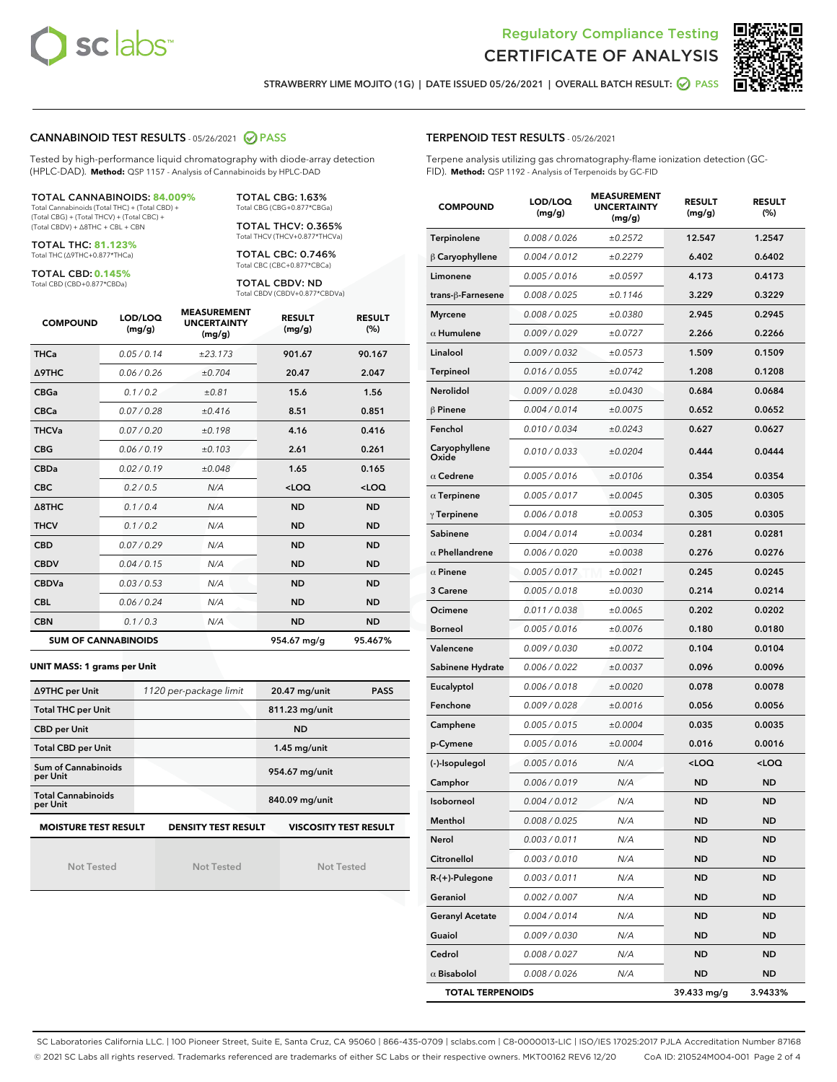



STRAWBERRY LIME MOJITO (1G) | DATE ISSUED 05/26/2021 | OVERALL BATCH RESULT: @ PASS

### CANNABINOID TEST RESULTS - 05/26/2021 2 PASS

Tested by high-performance liquid chromatography with diode-array detection (HPLC-DAD). **Method:** QSP 1157 - Analysis of Cannabinoids by HPLC-DAD

#### TOTAL CANNABINOIDS: **84.009%**

Total Cannabinoids (Total THC) + (Total CBD) + (Total CBG) + (Total THCV) + (Total CBC) + (Total CBDV) + ∆8THC + CBL + CBN

TOTAL THC: **81.123%** Total THC (∆9THC+0.877\*THCa)

TOTAL CBD: **0.145%**

Total CBD (CBD+0.877\*CBDa)

TOTAL CBG: 1.63% Total CBG (CBG+0.877\*CBGa)

TOTAL THCV: 0.365% Total THCV (THCV+0.877\*THCVa)

TOTAL CBC: 0.746% Total CBC (CBC+0.877\*CBCa)

TOTAL CBDV: ND Total CBDV (CBDV+0.877\*CBDVa)

| <b>COMPOUND</b>  | LOD/LOQ<br>(mg/g)          | <b>MEASUREMENT</b><br><b>UNCERTAINTY</b><br>(mg/g) | <b>RESULT</b><br>(mg/g) | <b>RESULT</b><br>(%) |
|------------------|----------------------------|----------------------------------------------------|-------------------------|----------------------|
| <b>THCa</b>      | 0.05/0.14                  | ±23.173                                            | 901.67                  | 90.167               |
| <b>A9THC</b>     | 0.06 / 0.26                | ±0.704                                             | 20.47                   | 2.047                |
| <b>CBGa</b>      | 0.1 / 0.2                  | ±0.81                                              | 15.6                    | 1.56                 |
| <b>CBCa</b>      | 0.07/0.28                  | ±0.416                                             | 8.51                    | 0.851                |
| <b>THCVa</b>     | 0.07/0.20                  | ±0.198                                             | 4.16                    | 0.416                |
| <b>CBG</b>       | 0.06/0.19                  | ±0.103                                             | 2.61                    | 0.261                |
| <b>CBDa</b>      | 0.02/0.19                  | ±0.048                                             | 1.65                    | 0.165                |
| <b>CBC</b>       | 0.2 / 0.5                  | N/A                                                | $<$ LOQ                 | $<$ LOQ              |
| $\triangle$ 8THC | 0.1/0.4                    | N/A                                                | <b>ND</b>               | <b>ND</b>            |
| <b>THCV</b>      | 0.1/0.2                    | N/A                                                | <b>ND</b>               | <b>ND</b>            |
| <b>CBD</b>       | 0.07/0.29                  | N/A                                                | <b>ND</b>               | <b>ND</b>            |
| <b>CBDV</b>      | 0.04 / 0.15                | N/A                                                | <b>ND</b>               | <b>ND</b>            |
| <b>CBDVa</b>     | 0.03/0.53                  | N/A                                                | <b>ND</b>               | <b>ND</b>            |
| <b>CBL</b>       | 0.06 / 0.24                | N/A                                                | <b>ND</b>               | <b>ND</b>            |
| <b>CBN</b>       | 0.1/0.3                    | N/A                                                | <b>ND</b>               | <b>ND</b>            |
|                  | <b>SUM OF CANNABINOIDS</b> |                                                    | 954.67 mg/g             | 95.467%              |

#### **UNIT MASS: 1 grams per Unit**

| ∆9THC per Unit                        | 1120 per-package limit     | 20.47 mg/unit<br><b>PASS</b> |
|---------------------------------------|----------------------------|------------------------------|
| <b>Total THC per Unit</b>             |                            | 811.23 mg/unit               |
| <b>CBD per Unit</b>                   |                            | <b>ND</b>                    |
| <b>Total CBD per Unit</b>             |                            | $1.45$ mg/unit               |
| Sum of Cannabinoids<br>per Unit       |                            | 954.67 mg/unit               |
| <b>Total Cannabinoids</b><br>per Unit |                            | 840.09 mg/unit               |
| <b>MOISTURE TEST RESULT</b>           | <b>DENSITY TEST RESULT</b> | <b>VISCOSITY TEST RESULT</b> |

Not Tested

Not Tested

Not Tested

#### TERPENOID TEST RESULTS - 05/26/2021

Terpene analysis utilizing gas chromatography-flame ionization detection (GC-FID). **Method:** QSP 1192 - Analysis of Terpenoids by GC-FID

| <b>COMPOUND</b>         | LOD/LOQ<br>(mg/g) | <b>MEASUREMENT</b><br><b>UNCERTAINTY</b><br>(mg/g) | <b>RESULT</b><br>(mg/g)                         | <b>RESULT</b><br>$(\%)$ |
|-------------------------|-------------------|----------------------------------------------------|-------------------------------------------------|-------------------------|
| Terpinolene             | 0.008 / 0.026     | ±0.2572                                            | 12.547                                          | 1.2547                  |
| $\beta$ Caryophyllene   | 0.004 / 0.012     | ±0.2279                                            | 6.402                                           | 0.6402                  |
| Limonene                | 0.005 / 0.016     | ±0.0597                                            | 4.173                                           | 0.4173                  |
| trans-β-Farnesene       | 0.008 / 0.025     | ±0.1146                                            | 3.229                                           | 0.3229                  |
| <b>Myrcene</b>          | 0.008 / 0.025     | ±0.0380                                            | 2.945                                           | 0.2945                  |
| $\alpha$ Humulene       | 0.009/0.029       | ±0.0727                                            | 2.266                                           | 0.2266                  |
| Linalool                | 0.009 / 0.032     | ±0.0573                                            | 1.509                                           | 0.1509                  |
| <b>Terpineol</b>        | 0.016 / 0.055     | ±0.0742                                            | 1.208                                           | 0.1208                  |
| Nerolidol               | 0.009 / 0.028     | ±0.0430                                            | 0.684                                           | 0.0684                  |
| $\beta$ Pinene          | 0.004 / 0.014     | ±0.0075                                            | 0.652                                           | 0.0652                  |
| Fenchol                 | 0.010 / 0.034     | ±0.0243                                            | 0.627                                           | 0.0627                  |
| Caryophyllene<br>Oxide  | 0.010 / 0.033     | ±0.0204                                            | 0.444                                           | 0.0444                  |
| $\alpha$ Cedrene        | 0.005 / 0.016     | ±0.0106                                            | 0.354                                           | 0.0354                  |
| $\alpha$ Terpinene      | 0.005 / 0.017     | ±0.0045                                            | 0.305                                           | 0.0305                  |
| $\gamma$ Terpinene      | 0.006 / 0.018     | ±0.0053                                            | 0.305                                           | 0.0305                  |
| Sabinene                | 0.004 / 0.014     | ±0.0034                                            | 0.281                                           | 0.0281                  |
| $\alpha$ Phellandrene   | 0.006 / 0.020     | ±0.0038                                            | 0.276                                           | 0.0276                  |
| $\alpha$ Pinene         | 0.005 / 0.017     | ±0.0021                                            | 0.245                                           | 0.0245                  |
| 3 Carene                | 0.005 / 0.018     | ±0.0030                                            | 0.214                                           | 0.0214                  |
| Ocimene                 | 0.011 / 0.038     | ±0.0065                                            | 0.202                                           | 0.0202                  |
| <b>Borneol</b>          | 0.005 / 0.016     | ±0.0076                                            | 0.180                                           | 0.0180                  |
| Valencene               | 0.009 / 0.030     | ±0.0072                                            | 0.104                                           | 0.0104                  |
| Sabinene Hydrate        | 0.006 / 0.022     | ±0.0037                                            | 0.096                                           | 0.0096                  |
| Eucalyptol              | 0.006 / 0.018     | ±0.0020                                            | 0.078                                           | 0.0078                  |
| Fenchone                | 0.009 / 0.028     | ±0.0016                                            | 0.056                                           | 0.0056                  |
| Camphene                | 0.005 / 0.015     | ±0.0004                                            | 0.035                                           | 0.0035                  |
| p-Cymene                | 0.005 / 0.016     | ±0.0004                                            | 0.016                                           | 0.0016                  |
| (-)-Isopulegol          | 0.005 / 0.016     | N/A                                                | <loq< th=""><th><loq< th=""></loq<></th></loq<> | <loq< th=""></loq<>     |
| Camphor                 | 0.006 / 0.019     | N/A                                                | <b>ND</b>                                       | <b>ND</b>               |
| Isoborneol              | 0.004 / 0.012     | N/A                                                | <b>ND</b>                                       | <b>ND</b>               |
| Menthol                 | 0.008 / 0.025     | N/A                                                | ND                                              | ND                      |
| Nerol                   | 0.003 / 0.011     | N/A                                                | ND                                              | ND                      |
| Citronellol             | 0.003 / 0.010     | N/A                                                | ND                                              | <b>ND</b>               |
| R-(+)-Pulegone          | 0.003 / 0.011     | N/A                                                | ND                                              | ND                      |
| Geraniol                | 0.002 / 0.007     | N/A                                                | ND                                              | ND                      |
| <b>Geranyl Acetate</b>  | 0.004 / 0.014     | N/A                                                | ND                                              | ND                      |
| Guaiol                  | 0.009 / 0.030     | N/A                                                | ND                                              | ND                      |
| Cedrol                  | 0.008 / 0.027     | N/A                                                | ND                                              | ND                      |
| $\alpha$ Bisabolol      | 0.008 / 0.026     | N/A                                                | ND                                              | <b>ND</b>               |
| <b>TOTAL TERPENOIDS</b> |                   |                                                    | 39.433 mg/g                                     | 3.9433%                 |

SC Laboratories California LLC. | 100 Pioneer Street, Suite E, Santa Cruz, CA 95060 | 866-435-0709 | sclabs.com | C8-0000013-LIC | ISO/IES 17025:2017 PJLA Accreditation Number 87168 © 2021 SC Labs all rights reserved. Trademarks referenced are trademarks of either SC Labs or their respective owners. MKT00162 REV6 12/20 CoA ID: 210524M004-001 Page 2 of 4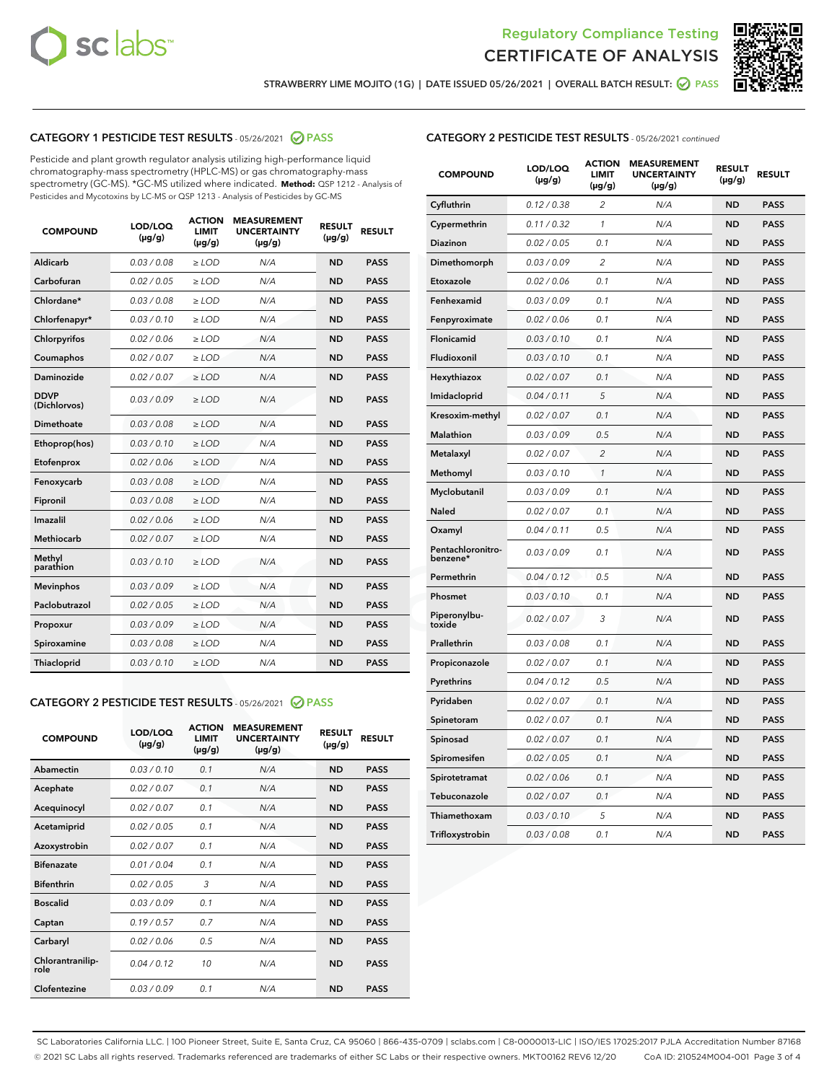



STRAWBERRY LIME MOJITO (1G) | DATE ISSUED 05/26/2021 | OVERALL BATCH RESULT: @ PASS

# CATEGORY 1 PESTICIDE TEST RESULTS - 05/26/2021 2 PASS

Pesticide and plant growth regulator analysis utilizing high-performance liquid chromatography-mass spectrometry (HPLC-MS) or gas chromatography-mass spectrometry (GC-MS). \*GC-MS utilized where indicated. **Method:** QSP 1212 - Analysis of Pesticides and Mycotoxins by LC-MS or QSP 1213 - Analysis of Pesticides by GC-MS

| <b>COMPOUND</b>             | LOD/LOQ<br>$(\mu g/g)$ | <b>ACTION</b><br><b>LIMIT</b><br>$(\mu g/g)$ | <b>MEASUREMENT</b><br><b>UNCERTAINTY</b><br>$(\mu g/g)$ | <b>RESULT</b><br>$(\mu g/g)$ | <b>RESULT</b> |
|-----------------------------|------------------------|----------------------------------------------|---------------------------------------------------------|------------------------------|---------------|
| Aldicarb                    | 0.03/0.08              | $\ge$ LOD                                    | N/A                                                     | <b>ND</b>                    | <b>PASS</b>   |
| Carbofuran                  | 0.02 / 0.05            | $\geq$ LOD                                   | N/A                                                     | <b>ND</b>                    | <b>PASS</b>   |
| Chlordane*                  | 0.03 / 0.08            | $\geq$ LOD                                   | N/A                                                     | <b>ND</b>                    | <b>PASS</b>   |
| Chlorfenapyr*               | 0.03/0.10              | $\geq$ LOD                                   | N/A                                                     | <b>ND</b>                    | <b>PASS</b>   |
| Chlorpyrifos                | 0.02 / 0.06            | $>$ LOD                                      | N/A                                                     | <b>ND</b>                    | <b>PASS</b>   |
| Coumaphos                   | 0.02 / 0.07            | $\ge$ LOD                                    | N/A                                                     | <b>ND</b>                    | <b>PASS</b>   |
| Daminozide                  | 0.02 / 0.07            | $\ge$ LOD                                    | N/A                                                     | <b>ND</b>                    | <b>PASS</b>   |
| <b>DDVP</b><br>(Dichlorvos) | 0.03/0.09              | $\ge$ LOD                                    | N/A                                                     | <b>ND</b>                    | <b>PASS</b>   |
| Dimethoate                  | 0.03 / 0.08            | $\ge$ LOD                                    | N/A                                                     | <b>ND</b>                    | <b>PASS</b>   |
| Ethoprop(hos)               | 0.03/0.10              | $>$ LOD                                      | N/A                                                     | <b>ND</b>                    | <b>PASS</b>   |
| Etofenprox                  | 0.02 / 0.06            | $\ge$ LOD                                    | N/A                                                     | <b>ND</b>                    | <b>PASS</b>   |
| Fenoxycarb                  | 0.03 / 0.08            | $\ge$ LOD                                    | N/A                                                     | <b>ND</b>                    | <b>PASS</b>   |
| Fipronil                    | 0.03/0.08              | $>$ LOD                                      | N/A                                                     | <b>ND</b>                    | <b>PASS</b>   |
| Imazalil                    | 0.02 / 0.06            | $>$ LOD                                      | N/A                                                     | <b>ND</b>                    | <b>PASS</b>   |
| Methiocarb                  | 0.02 / 0.07            | $>$ LOD                                      | N/A                                                     | <b>ND</b>                    | <b>PASS</b>   |
| Methyl<br>parathion         | 0.03/0.10              | $\ge$ LOD                                    | N/A                                                     | <b>ND</b>                    | <b>PASS</b>   |
| <b>Mevinphos</b>            | 0.03 / 0.09            | $\ge$ LOD                                    | N/A                                                     | <b>ND</b>                    | <b>PASS</b>   |
| Paclobutrazol               | 0.02 / 0.05            | $\ge$ LOD                                    | N/A                                                     | <b>ND</b>                    | <b>PASS</b>   |
| Propoxur                    | 0.03/0.09              | $\ge$ LOD                                    | N/A                                                     | <b>ND</b>                    | <b>PASS</b>   |
| Spiroxamine                 | 0.03 / 0.08            | $\ge$ LOD                                    | N/A                                                     | <b>ND</b>                    | <b>PASS</b>   |
| Thiacloprid                 | 0.03/0.10              | $\geq$ LOD                                   | N/A                                                     | <b>ND</b>                    | <b>PASS</b>   |
|                             |                        |                                              |                                                         |                              |               |

#### CATEGORY 2 PESTICIDE TEST RESULTS - 05/26/2021 @ PASS

| <b>COMPOUND</b>          | LOD/LOQ<br>$(\mu g/g)$ | <b>ACTION</b><br><b>LIMIT</b><br>$(\mu g/g)$ | <b>MEASUREMENT</b><br><b>UNCERTAINTY</b><br>$(\mu g/g)$ | <b>RESULT</b><br>$(\mu g/g)$ | <b>RESULT</b> |
|--------------------------|------------------------|----------------------------------------------|---------------------------------------------------------|------------------------------|---------------|
| Abamectin                | 0.03/0.10              | 0.1                                          | N/A                                                     | <b>ND</b>                    | <b>PASS</b>   |
| Acephate                 | 0.02/0.07              | 0.1                                          | N/A                                                     | <b>ND</b>                    | <b>PASS</b>   |
| Acequinocyl              | 0.02/0.07              | 0.1                                          | N/A                                                     | <b>ND</b>                    | <b>PASS</b>   |
| Acetamiprid              | 0.02/0.05              | 0.1                                          | N/A                                                     | <b>ND</b>                    | <b>PASS</b>   |
| Azoxystrobin             | 0.02/0.07              | 0.1                                          | N/A                                                     | <b>ND</b>                    | <b>PASS</b>   |
| <b>Bifenazate</b>        | 0.01 / 0.04            | 0.1                                          | N/A                                                     | <b>ND</b>                    | <b>PASS</b>   |
| <b>Bifenthrin</b>        | 0.02 / 0.05            | 3                                            | N/A                                                     | <b>ND</b>                    | <b>PASS</b>   |
| <b>Boscalid</b>          | 0.03/0.09              | 0.1                                          | N/A                                                     | <b>ND</b>                    | <b>PASS</b>   |
| Captan                   | 0.19/0.57              | 0.7                                          | N/A                                                     | <b>ND</b>                    | <b>PASS</b>   |
| Carbaryl                 | 0.02/0.06              | 0.5                                          | N/A                                                     | <b>ND</b>                    | <b>PASS</b>   |
| Chlorantranilip-<br>role | 0.04/0.12              | 10                                           | N/A                                                     | <b>ND</b>                    | <b>PASS</b>   |
| Clofentezine             | 0.03/0.09              | 01                                           | N/A                                                     | <b>ND</b>                    | <b>PASS</b>   |

# CATEGORY 2 PESTICIDE TEST RESULTS - 05/26/2021 continued

| <b>COMPOUND</b>               | LOD/LOQ<br>(µg/g) | <b>ACTION</b><br><b>LIMIT</b><br>$(\mu g/g)$ | <b>MEASUREMENT</b><br><b>UNCERTAINTY</b><br>$(\mu g/g)$ | <b>RESULT</b><br>(µg/g) | <b>RESULT</b> |
|-------------------------------|-------------------|----------------------------------------------|---------------------------------------------------------|-------------------------|---------------|
| Cyfluthrin                    | 0.12 / 0.38       | $\overline{c}$                               | N/A                                                     | ND                      | <b>PASS</b>   |
| Cypermethrin                  | 0.11 / 0.32       | $\mathcal{I}$                                | N/A                                                     | ND                      | <b>PASS</b>   |
| Diazinon                      | 0.02 / 0.05       | 0.1                                          | N/A                                                     | <b>ND</b>               | <b>PASS</b>   |
| Dimethomorph                  | 0.03 / 0.09       | 2                                            | N/A                                                     | ND                      | <b>PASS</b>   |
| Etoxazole                     | 0.02 / 0.06       | 0.1                                          | N/A                                                     | ND                      | <b>PASS</b>   |
| Fenhexamid                    | 0.03 / 0.09       | 0.1                                          | N/A                                                     | <b>ND</b>               | <b>PASS</b>   |
| Fenpyroximate                 | 0.02 / 0.06       | 0.1                                          | N/A                                                     | ND                      | <b>PASS</b>   |
| Flonicamid                    | 0.03 / 0.10       | 0.1                                          | N/A                                                     | ND                      | <b>PASS</b>   |
| Fludioxonil                   | 0.03 / 0.10       | 0.1                                          | N/A                                                     | ND                      | <b>PASS</b>   |
| Hexythiazox                   | 0.02 / 0.07       | 0.1                                          | N/A                                                     | ND                      | <b>PASS</b>   |
| Imidacloprid                  | 0.04 / 0.11       | 5                                            | N/A                                                     | ND                      | <b>PASS</b>   |
| Kresoxim-methyl               | 0.02 / 0.07       | 0.1                                          | N/A                                                     | ND                      | <b>PASS</b>   |
| <b>Malathion</b>              | 0.03 / 0.09       | 0.5                                          | N/A                                                     | ND                      | <b>PASS</b>   |
| Metalaxyl                     | 0.02 / 0.07       | $\overline{c}$                               | N/A                                                     | ND                      | <b>PASS</b>   |
| Methomyl                      | 0.03 / 0.10       | 1                                            | N/A                                                     | <b>ND</b>               | <b>PASS</b>   |
| Myclobutanil                  | 0.03 / 0.09       | 0.1                                          | N/A                                                     | ND                      | <b>PASS</b>   |
| Naled                         | 0.02 / 0.07       | 0.1                                          | N/A                                                     | ND                      | <b>PASS</b>   |
| Oxamyl                        | 0.04 / 0.11       | 0.5                                          | N/A                                                     | ND                      | <b>PASS</b>   |
| Pentachloronitro-<br>benzene* | 0.03 / 0.09       | 0.1                                          | N/A                                                     | ND                      | <b>PASS</b>   |
| Permethrin                    | 0.04 / 0.12       | 0.5                                          | N/A                                                     | ND                      | <b>PASS</b>   |
| Phosmet                       | 0.03 / 0.10       | 0.1                                          | N/A                                                     | ND                      | <b>PASS</b>   |
| Piperonylbu-<br>toxide        | 0.02 / 0.07       | 3                                            | N/A                                                     | ND                      | <b>PASS</b>   |
| Prallethrin                   | 0.03 / 0.08       | 0.1                                          | N/A                                                     | ND                      | <b>PASS</b>   |
| Propiconazole                 | 0.02 / 0.07       | 0.1                                          | N/A                                                     | ND                      | <b>PASS</b>   |
| Pyrethrins                    | 0.04 / 0.12       | 0.5                                          | N/A                                                     | ND                      | <b>PASS</b>   |
| Pyridaben                     | 0.02 / 0.07       | 0.1                                          | N/A                                                     | ND                      | <b>PASS</b>   |
| Spinetoram                    | 0.02 / 0.07       | 0.1                                          | N/A                                                     | ND                      | <b>PASS</b>   |
| Spinosad                      | 0.02 / 0.07       | 0.1                                          | N/A                                                     | ND                      | <b>PASS</b>   |
| Spiromesifen                  | 0.02 / 0.05       | 0.1                                          | N/A                                                     | <b>ND</b>               | <b>PASS</b>   |
| Spirotetramat                 | 0.02 / 0.06       | 0.1                                          | N/A                                                     | ND                      | <b>PASS</b>   |
| Tebuconazole                  | 0.02 / 0.07       | 0.1                                          | N/A                                                     | ND                      | <b>PASS</b>   |
| Thiamethoxam                  | 0.03 / 0.10       | 5                                            | N/A                                                     | ND                      | <b>PASS</b>   |
| Trifloxystrobin               | 0.03 / 0.08       | 0.1                                          | N/A                                                     | <b>ND</b>               | <b>PASS</b>   |

SC Laboratories California LLC. | 100 Pioneer Street, Suite E, Santa Cruz, CA 95060 | 866-435-0709 | sclabs.com | C8-0000013-LIC | ISO/IES 17025:2017 PJLA Accreditation Number 87168 © 2021 SC Labs all rights reserved. Trademarks referenced are trademarks of either SC Labs or their respective owners. MKT00162 REV6 12/20 CoA ID: 210524M004-001 Page 3 of 4